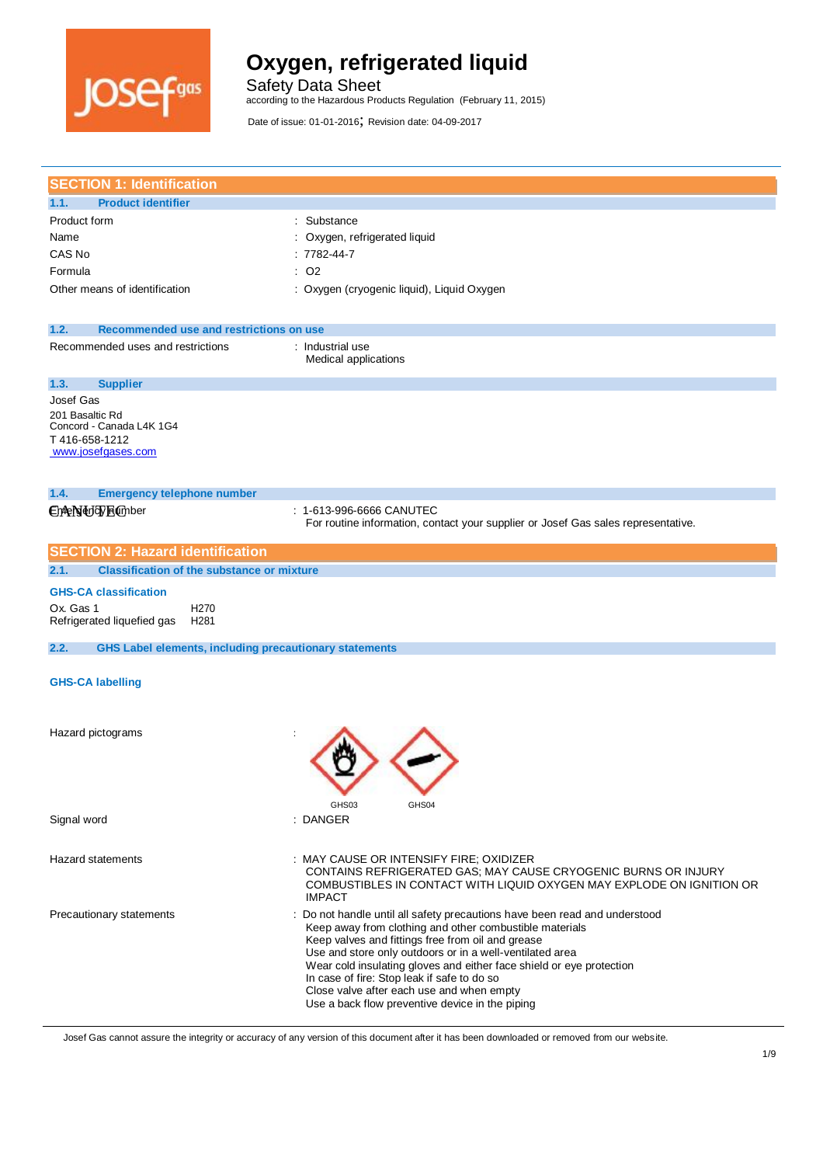

Safety Data Sheet

according to the Hazardous Products Regulation (February 11, 2015)

Date of issue: 01-01-2016; Revision date: 04-09-2017

| <b>SECTION 1: Identification</b>                                                                |                                                                                                                                                                                                                                                                                                                                                                                                                                                                               |  |
|-------------------------------------------------------------------------------------------------|-------------------------------------------------------------------------------------------------------------------------------------------------------------------------------------------------------------------------------------------------------------------------------------------------------------------------------------------------------------------------------------------------------------------------------------------------------------------------------|--|
| <b>Product identifier</b><br>1.1.                                                               |                                                                                                                                                                                                                                                                                                                                                                                                                                                                               |  |
| Product form                                                                                    | : Substance                                                                                                                                                                                                                                                                                                                                                                                                                                                                   |  |
| Name                                                                                            | Oxygen, refrigerated liquid                                                                                                                                                                                                                                                                                                                                                                                                                                                   |  |
| CAS No                                                                                          | $: 7782 - 44 - 7$                                                                                                                                                                                                                                                                                                                                                                                                                                                             |  |
| Formula                                                                                         | $:$ O <sub>2</sub>                                                                                                                                                                                                                                                                                                                                                                                                                                                            |  |
| Other means of identification                                                                   | : Oxygen (cryogenic liquid), Liquid Oxygen                                                                                                                                                                                                                                                                                                                                                                                                                                    |  |
| Recommended use and restrictions on use<br>1.2.                                                 |                                                                                                                                                                                                                                                                                                                                                                                                                                                                               |  |
| Recommended uses and restrictions                                                               | : Industrial use<br>Medical applications                                                                                                                                                                                                                                                                                                                                                                                                                                      |  |
| <b>Supplier</b><br>1.3.                                                                         |                                                                                                                                                                                                                                                                                                                                                                                                                                                                               |  |
| Josef Gas<br>201 Basaltic Rd<br>Concord - Canada L4K 1G4<br>T416-658-1212<br>www.josefgases.com |                                                                                                                                                                                                                                                                                                                                                                                                                                                                               |  |
| 1.4.<br><b>Emergency telephone number</b>                                                       |                                                                                                                                                                                                                                                                                                                                                                                                                                                                               |  |
| CheNddyEmber                                                                                    | : 1-613-996-6666 CANUTEC<br>For routine information, contact your supplier or Josef Gas sales representative.                                                                                                                                                                                                                                                                                                                                                                 |  |
| <b>SECTION 2: Hazard identification</b>                                                         |                                                                                                                                                                                                                                                                                                                                                                                                                                                                               |  |
| <b>Classification of the substance or mixture</b><br>2.1.                                       |                                                                                                                                                                                                                                                                                                                                                                                                                                                                               |  |
| <b>GHS-CA classification</b>                                                                    |                                                                                                                                                                                                                                                                                                                                                                                                                                                                               |  |
| Ox. Gas 1<br>H <sub>270</sub><br>Refrigerated liquefied gas<br>H <sub>281</sub>                 |                                                                                                                                                                                                                                                                                                                                                                                                                                                                               |  |
| 2.2.<br><b>GHS Label elements, including precautionary statements</b>                           |                                                                                                                                                                                                                                                                                                                                                                                                                                                                               |  |
| <b>GHS-CA labelling</b>                                                                         |                                                                                                                                                                                                                                                                                                                                                                                                                                                                               |  |
| Hazard pictograms                                                                               | GHS03<br>GHS04                                                                                                                                                                                                                                                                                                                                                                                                                                                                |  |
| Signal word                                                                                     | : DANGER                                                                                                                                                                                                                                                                                                                                                                                                                                                                      |  |
| <b>Hazard statements</b>                                                                        | : MAY CAUSE OR INTENSIFY FIRE; OXIDIZER<br>CONTAINS REFRIGERATED GAS; MAY CAUSE CRYOGENIC BURNS OR INJURY<br>COMBUSTIBLES IN CONTACT WITH LIQUID OXYGEN MAY EXPLODE ON IGNITION OR<br><b>IMPACT</b>                                                                                                                                                                                                                                                                           |  |
| Precautionary statements                                                                        | : Do not handle until all safety precautions have been read and understood<br>Keep away from clothing and other combustible materials<br>Keep valves and fittings free from oil and grease<br>Use and store only outdoors or in a well-ventilated area<br>Wear cold insulating gloves and either face shield or eye protection<br>In case of fire: Stop leak if safe to do so<br>Close valve after each use and when empty<br>Use a back flow preventive device in the piping |  |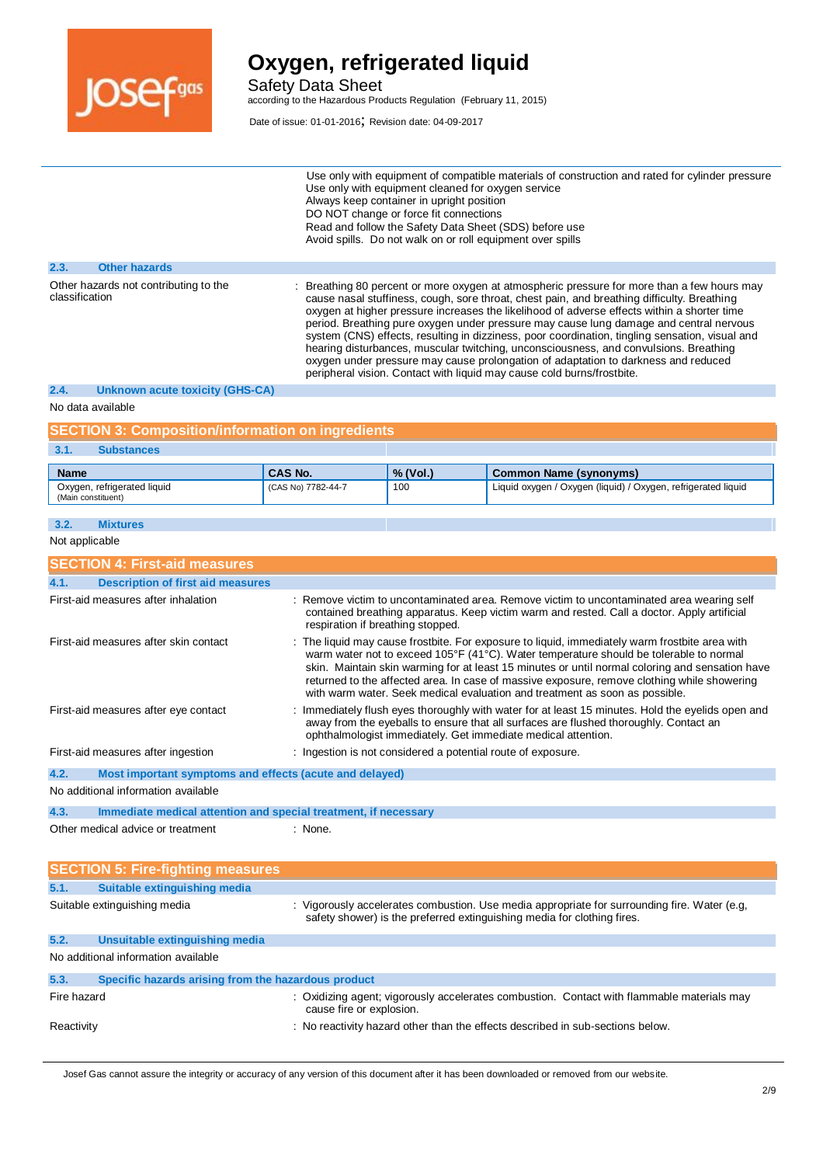

Safety Data Sheet according to the Hazardous Products Regulation (February 11, 2015)

Date of issue: 01-01-2016; Revision date: 04-09-2017

|                                                         |                      | Use only with equipment of compatible materials of construction and rated for cylinder pressure<br>Use only with equipment cleaned for oxygen service<br>Always keep container in upright position<br>DO NOT change or force fit connections<br>Read and follow the Safety Data Sheet (SDS) before use<br>Avoid spills. Do not walk on or roll equipment over spills                                                                                                                                                                                                                                                                                                                                                                          |
|---------------------------------------------------------|----------------------|-----------------------------------------------------------------------------------------------------------------------------------------------------------------------------------------------------------------------------------------------------------------------------------------------------------------------------------------------------------------------------------------------------------------------------------------------------------------------------------------------------------------------------------------------------------------------------------------------------------------------------------------------------------------------------------------------------------------------------------------------|
| 2.3.                                                    | <b>Other hazards</b> |                                                                                                                                                                                                                                                                                                                                                                                                                                                                                                                                                                                                                                                                                                                                               |
| Other hazards not contributing to the<br>classification |                      | Breathing 80 percent or more oxygen at atmospheric pressure for more than a few hours may<br>cause nasal stuffiness, cough, sore throat, chest pain, and breathing difficulty. Breathing<br>oxygen at higher pressure increases the likelihood of adverse effects within a shorter time<br>period. Breathing pure oxygen under pressure may cause lung damage and central nervous<br>system (CNS) effects, resulting in dizziness, poor coordination, tingling sensation, visual and<br>hearing disturbances, muscular twitching, unconsciousness, and convulsions. Breathing<br>oxygen under pressure may cause prolongation of adaptation to darkness and reduced<br>peripheral vision. Contact with liquid may cause cold burns/frostbite. |

#### **2.4. Unknown acute toxicity (GHS-CA)**

No data available

#### **SECTION 3: Composition/information on ingredients**

#### **3.1. Substances**

| <b>Name</b>                                       | CAS No.            | $%$ (Vol.) | Common Name (synonyms)                                        |
|---------------------------------------------------|--------------------|------------|---------------------------------------------------------------|
| Oxygen, refrigerated liquid<br>(Main constituent) | (CAS No) 7782-44-7 | 100        | Liquid oxygen / Oxygen (liquid) / Oxygen, refrigerated liquid |

### **3.2. Mixtures**

Not applicable

| <b>SECTION 4: First-aid measures</b>                                    |                                                                                                                                                                                                                                                                                                                                                                                                                                                                           |  |  |
|-------------------------------------------------------------------------|---------------------------------------------------------------------------------------------------------------------------------------------------------------------------------------------------------------------------------------------------------------------------------------------------------------------------------------------------------------------------------------------------------------------------------------------------------------------------|--|--|
| <b>Description of first aid measures</b><br>4.1.                        |                                                                                                                                                                                                                                                                                                                                                                                                                                                                           |  |  |
| First-aid measures after inhalation                                     | : Remove victim to uncontaminated area. Remove victim to uncontaminated area wearing self<br>contained breathing apparatus. Keep victim warm and rested. Call a doctor. Apply artificial<br>respiration if breathing stopped.                                                                                                                                                                                                                                             |  |  |
| First-aid measures after skin contact                                   | : The liquid may cause frostbite. For exposure to liquid, immediately warm frostbite area with<br>warm water not to exceed 105°F (41°C). Water temperature should be tolerable to normal<br>skin. Maintain skin warming for at least 15 minutes or until normal coloring and sensation have<br>returned to the affected area. In case of massive exposure, remove clothing while showering<br>with warm water. Seek medical evaluation and treatment as soon as possible. |  |  |
| First-aid measures after eye contact                                    | : Immediately flush eyes thoroughly with water for at least 15 minutes. Hold the eyelids open and<br>away from the eyeballs to ensure that all surfaces are flushed thoroughly. Contact an<br>ophthalmologist immediately. Get immediate medical attention.                                                                                                                                                                                                               |  |  |
| First-aid measures after ingestion                                      | : Ingestion is not considered a potential route of exposure.                                                                                                                                                                                                                                                                                                                                                                                                              |  |  |
| 4.2.<br>Most important symptoms and effects (acute and delayed)         |                                                                                                                                                                                                                                                                                                                                                                                                                                                                           |  |  |
| No additional information available                                     |                                                                                                                                                                                                                                                                                                                                                                                                                                                                           |  |  |
| 4.3.<br>Immediate medical attention and special treatment, if necessary |                                                                                                                                                                                                                                                                                                                                                                                                                                                                           |  |  |
| Other medical advice or treatment                                       | : None.                                                                                                                                                                                                                                                                                                                                                                                                                                                                   |  |  |

|             | <b>SECTION 5: Fire-fighting measures</b>            |                                                                                                                                                                         |
|-------------|-----------------------------------------------------|-------------------------------------------------------------------------------------------------------------------------------------------------------------------------|
| 5.1.        | Suitable extinguishing media                        |                                                                                                                                                                         |
|             | Suitable extinguishing media                        | : Vigorously accelerates combustion. Use media appropriate for surrounding fire. Water (e.g,<br>safety shower) is the preferred extinguishing media for clothing fires. |
| 5.2.        | Unsuitable extinguishing media                      |                                                                                                                                                                         |
|             | No additional information available                 |                                                                                                                                                                         |
| 5.3.        | Specific hazards arising from the hazardous product |                                                                                                                                                                         |
| Fire hazard |                                                     | : Oxidizing agent; vigorously accelerates combustion. Contact with flammable materials may<br>cause fire or explosion.                                                  |
| Reactivity  |                                                     | : No reactivity hazard other than the effects described in sub-sections below.                                                                                          |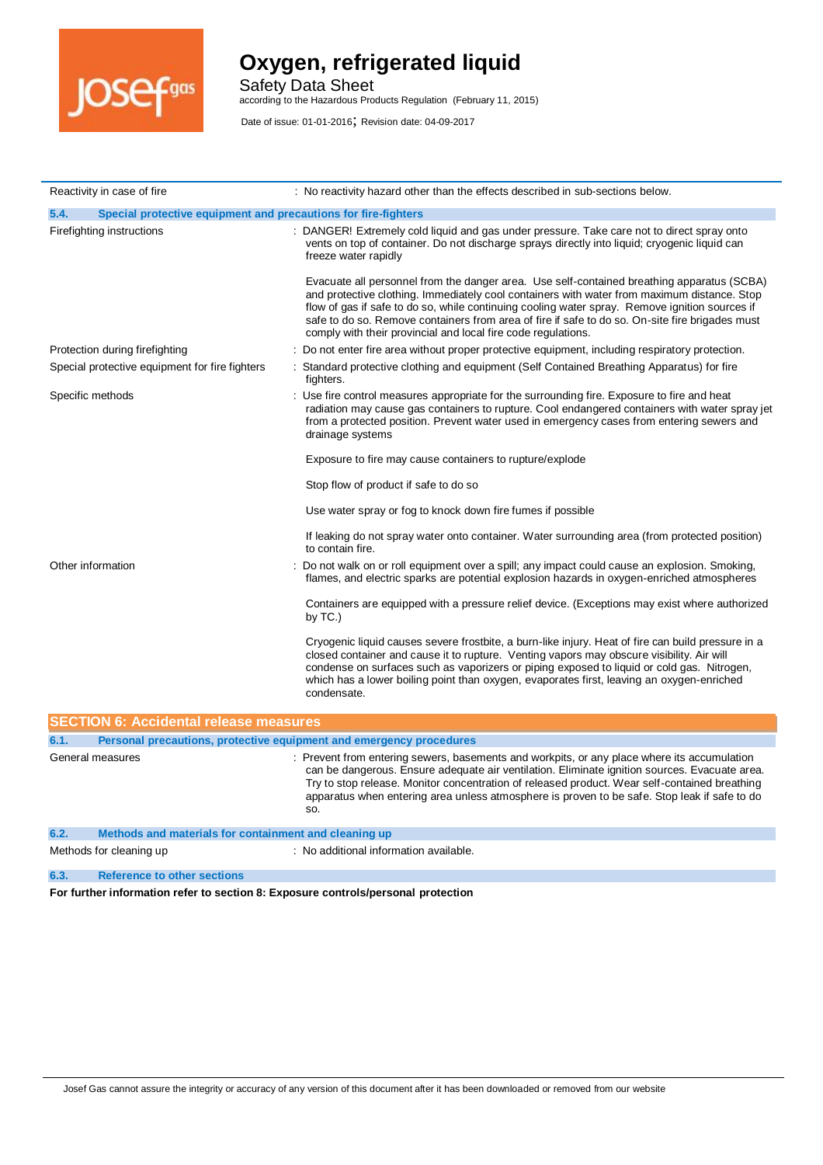

Safety Data Sheet

according to the Hazardous Products Regulation (February 11, 2015)

Date of issue: 01-01-2016; Revision date: 04-09-2017

| Reactivity in case of fire                                                  | : No reactivity hazard other than the effects described in sub-sections below.                                                                                                                                                                                                                                                                                                                                                                                  |
|-----------------------------------------------------------------------------|-----------------------------------------------------------------------------------------------------------------------------------------------------------------------------------------------------------------------------------------------------------------------------------------------------------------------------------------------------------------------------------------------------------------------------------------------------------------|
| 5.4.<br>Special protective equipment and precautions for fire-fighters      |                                                                                                                                                                                                                                                                                                                                                                                                                                                                 |
| Firefighting instructions                                                   | : DANGER! Extremely cold liquid and gas under pressure. Take care not to direct spray onto<br>vents on top of container. Do not discharge sprays directly into liquid; cryogenic liquid can<br>freeze water rapidly                                                                                                                                                                                                                                             |
|                                                                             | Evacuate all personnel from the danger area. Use self-contained breathing apparatus (SCBA)<br>and protective clothing. Immediately cool containers with water from maximum distance. Stop<br>flow of gas if safe to do so, while continuing cooling water spray. Remove ignition sources if<br>safe to do so. Remove containers from area of fire if safe to do so. On-site fire brigades must<br>comply with their provincial and local fire code regulations. |
| Protection during firefighting                                              | Do not enter fire area without proper protective equipment, including respiratory protection.                                                                                                                                                                                                                                                                                                                                                                   |
| Special protective equipment for fire fighters                              | : Standard protective clothing and equipment (Self Contained Breathing Apparatus) for fire<br>fighters.                                                                                                                                                                                                                                                                                                                                                         |
| Specific methods                                                            | Use fire control measures appropriate for the surrounding fire. Exposure to fire and heat<br>radiation may cause gas containers to rupture. Cool endangered containers with water spray jet<br>from a protected position. Prevent water used in emergency cases from entering sewers and<br>drainage systems                                                                                                                                                    |
|                                                                             | Exposure to fire may cause containers to rupture/explode                                                                                                                                                                                                                                                                                                                                                                                                        |
|                                                                             | Stop flow of product if safe to do so                                                                                                                                                                                                                                                                                                                                                                                                                           |
|                                                                             | Use water spray or fog to knock down fire fumes if possible                                                                                                                                                                                                                                                                                                                                                                                                     |
|                                                                             | If leaking do not spray water onto container. Water surrounding area (from protected position)<br>to contain fire.                                                                                                                                                                                                                                                                                                                                              |
| Other information                                                           | Do not walk on or roll equipment over a spill; any impact could cause an explosion. Smoking,<br>flames, and electric sparks are potential explosion hazards in oxygen-enriched atmospheres                                                                                                                                                                                                                                                                      |
|                                                                             | Containers are equipped with a pressure relief device. (Exceptions may exist where authorized<br>by $TC.$ )                                                                                                                                                                                                                                                                                                                                                     |
|                                                                             | Cryogenic liquid causes severe frostbite, a burn-like injury. Heat of fire can build pressure in a<br>closed container and cause it to rupture. Venting vapors may obscure visibility. Air will<br>condense on surfaces such as vaporizers or piping exposed to liquid or cold gas. Nitrogen,<br>which has a lower boiling point than oxygen, evaporates first, leaving an oxygen-enriched<br>condensate.                                                       |
| <b>SECTION 6: Accidental release measures</b>                               |                                                                                                                                                                                                                                                                                                                                                                                                                                                                 |
| 6.1.<br>Personal precautions, protective equipment and emergency procedures |                                                                                                                                                                                                                                                                                                                                                                                                                                                                 |
| General measures                                                            | Prevent from entering sewers, basements and workpits, or any place where its accumulation<br>can be dangerous. Ensure adequate air ventilation. Eliminate ignition sources. Evacuate area.<br>Try to stop release. Monitor concentration of released product. Wear self-contained breathing<br>apparatus when entering area unless atmosphere is proven to be safe. Stop leak if safe to do<br>SO.                                                              |
| 6.2.<br>Methods and materials for containment and cleaning up               |                                                                                                                                                                                                                                                                                                                                                                                                                                                                 |
| Methods for cleaning up                                                     | : No additional information available.                                                                                                                                                                                                                                                                                                                                                                                                                          |

**6.3. Reference to other sections** 

**For further information refer to section 8: Exposure controls/personal protection**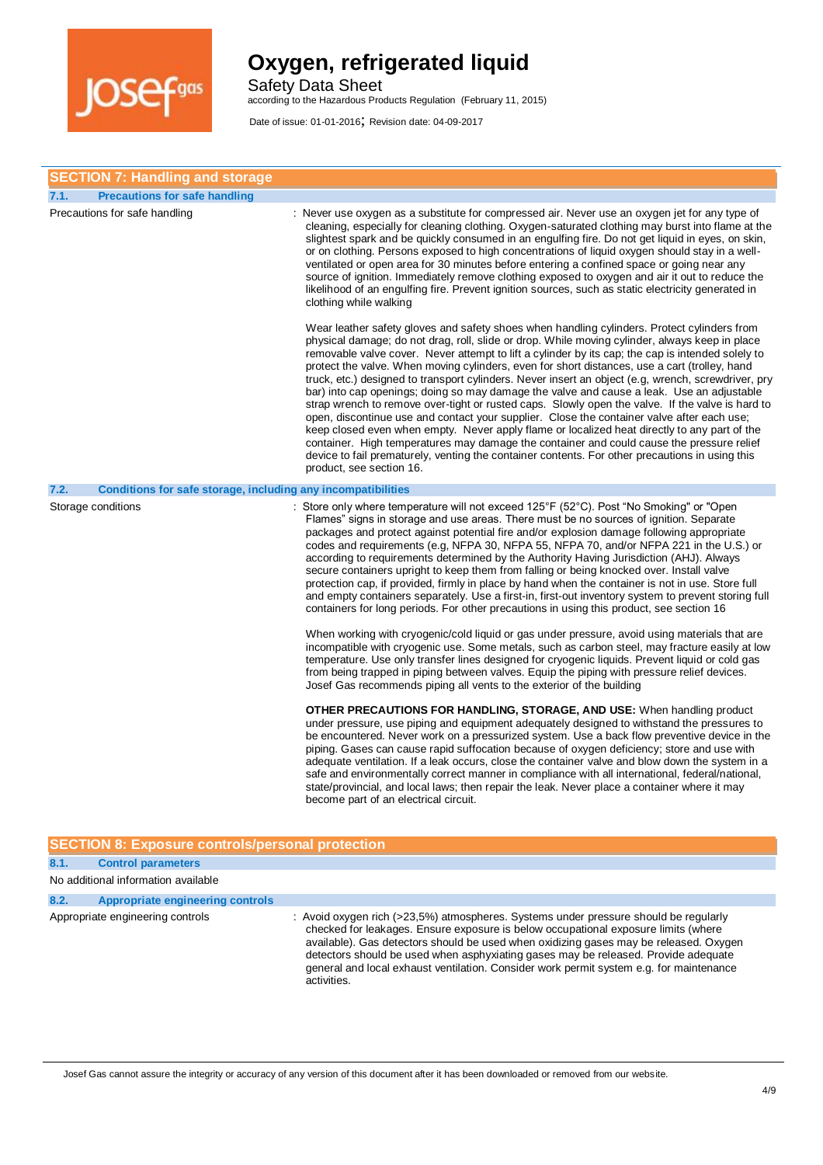

Safety Data Sheet

according to the Hazardous Products Regulation (February 11, 2015)

Date of issue: 01-01-2016; Revision date: 04-09-2017

| <b>SECTION 7: Handling and storage</b>                               |                                                                                                                                                                                                                                                                                                                                                                                                                                                                                                                                                                                                                                                                                                                                                                                                                                                                                                                                                                                                                                                                                                                                       |
|----------------------------------------------------------------------|---------------------------------------------------------------------------------------------------------------------------------------------------------------------------------------------------------------------------------------------------------------------------------------------------------------------------------------------------------------------------------------------------------------------------------------------------------------------------------------------------------------------------------------------------------------------------------------------------------------------------------------------------------------------------------------------------------------------------------------------------------------------------------------------------------------------------------------------------------------------------------------------------------------------------------------------------------------------------------------------------------------------------------------------------------------------------------------------------------------------------------------|
| <b>Precautions for safe handling</b><br>7.1.                         |                                                                                                                                                                                                                                                                                                                                                                                                                                                                                                                                                                                                                                                                                                                                                                                                                                                                                                                                                                                                                                                                                                                                       |
| Precautions for safe handling                                        | : Never use oxygen as a substitute for compressed air. Never use an oxygen jet for any type of<br>cleaning, especially for cleaning clothing. Oxygen-saturated clothing may burst into flame at the<br>slightest spark and be quickly consumed in an engulfing fire. Do not get liquid in eyes, on skin,<br>or on clothing. Persons exposed to high concentrations of liquid oxygen should stay in a well-<br>ventilated or open area for 30 minutes before entering a confined space or going near any<br>source of ignition. Immediately remove clothing exposed to oxygen and air it out to reduce the<br>likelihood of an engulfing fire. Prevent ignition sources, such as static electricity generated in<br>clothing while walking                                                                                                                                                                                                                                                                                                                                                                                             |
|                                                                      | Wear leather safety gloves and safety shoes when handling cylinders. Protect cylinders from<br>physical damage; do not drag, roll, slide or drop. While moving cylinder, always keep in place<br>removable valve cover. Never attempt to lift a cylinder by its cap; the cap is intended solely to<br>protect the valve. When moving cylinders, even for short distances, use a cart (trolley, hand<br>truck, etc.) designed to transport cylinders. Never insert an object (e.g. wrench, screwdriver, pry<br>bar) into cap openings; doing so may damage the valve and cause a leak. Use an adjustable<br>strap wrench to remove over-tight or rusted caps. Slowly open the valve. If the valve is hard to<br>open, discontinue use and contact your supplier. Close the container valve after each use;<br>keep closed even when empty. Never apply flame or localized heat directly to any part of the<br>container. High temperatures may damage the container and could cause the pressure relief<br>device to fail prematurely, venting the container contents. For other precautions in using this<br>product, see section 16. |
| 7.2.<br>Conditions for safe storage, including any incompatibilities |                                                                                                                                                                                                                                                                                                                                                                                                                                                                                                                                                                                                                                                                                                                                                                                                                                                                                                                                                                                                                                                                                                                                       |
| Storage conditions                                                   | Store only where temperature will not exceed 125°F (52°C). Post "No Smoking" or "Open<br>Flames" signs in storage and use areas. There must be no sources of ignition. Separate<br>packages and protect against potential fire and/or explosion damage following appropriate<br>codes and requirements (e.g. NFPA 30, NFPA 55, NFPA 70, and/or NFPA 221 in the U.S.) or<br>according to requirements determined by the Authority Having Jurisdiction (AHJ). Always<br>secure containers upright to keep them from falling or being knocked over. Install valve<br>protection cap, if provided, firmly in place by hand when the container is not in use. Store full<br>and empty containers separately. Use a first-in, first-out inventory system to prevent storing full<br>containers for long periods. For other precautions in using this product, see section 16                                                                                                                                                                                                                                                                |
|                                                                      | When working with cryogenic/cold liquid or gas under pressure, avoid using materials that are<br>incompatible with cryogenic use. Some metals, such as carbon steel, may fracture easily at low<br>temperature. Use only transfer lines designed for cryogenic liquids. Prevent liquid or cold gas<br>from being trapped in piping between valves. Equip the piping with pressure relief devices.<br>Josef Gas recommends piping all vents to the exterior of the building                                                                                                                                                                                                                                                                                                                                                                                                                                                                                                                                                                                                                                                            |
|                                                                      | <b>OTHER PRECAUTIONS FOR HANDLING, STORAGE, AND USE:</b> When handling product<br>under pressure, use piping and equipment adequately designed to withstand the pressures to<br>be encountered. Never work on a pressurized system. Use a back flow preventive device in the<br>piping. Gases can cause rapid suffocation because of oxygen deficiency; store and use with<br>adequate ventilation. If a leak occurs, close the container valve and blow down the system in a<br>safe and environmentally correct manner in compliance with all international, federal/national,<br>state/provincial, and local laws; then repair the leak. Never place a container where it may<br>become part of an electrical circuit.                                                                                                                                                                                                                                                                                                                                                                                                             |

### **SECTION 8: Exposure controls/personal protection**

| 8.1. | <b>Control parameters</b>           |                                                                                                                                                                                                                                                                                                                                                                                                                                                                     |
|------|-------------------------------------|---------------------------------------------------------------------------------------------------------------------------------------------------------------------------------------------------------------------------------------------------------------------------------------------------------------------------------------------------------------------------------------------------------------------------------------------------------------------|
|      | No additional information available |                                                                                                                                                                                                                                                                                                                                                                                                                                                                     |
| 8.2. | Appropriate engineering controls    |                                                                                                                                                                                                                                                                                                                                                                                                                                                                     |
|      | Appropriate engineering controls    | : Avoid oxygen rich (>23,5%) atmospheres. Systems under pressure should be regularly<br>checked for leakages. Ensure exposure is below occupational exposure limits (where<br>available). Gas detectors should be used when oxidizing gases may be released. Oxygen<br>detectors should be used when asphyxiating gases may be released. Provide adequate<br>general and local exhaust ventilation. Consider work permit system e.g. for maintenance<br>activities. |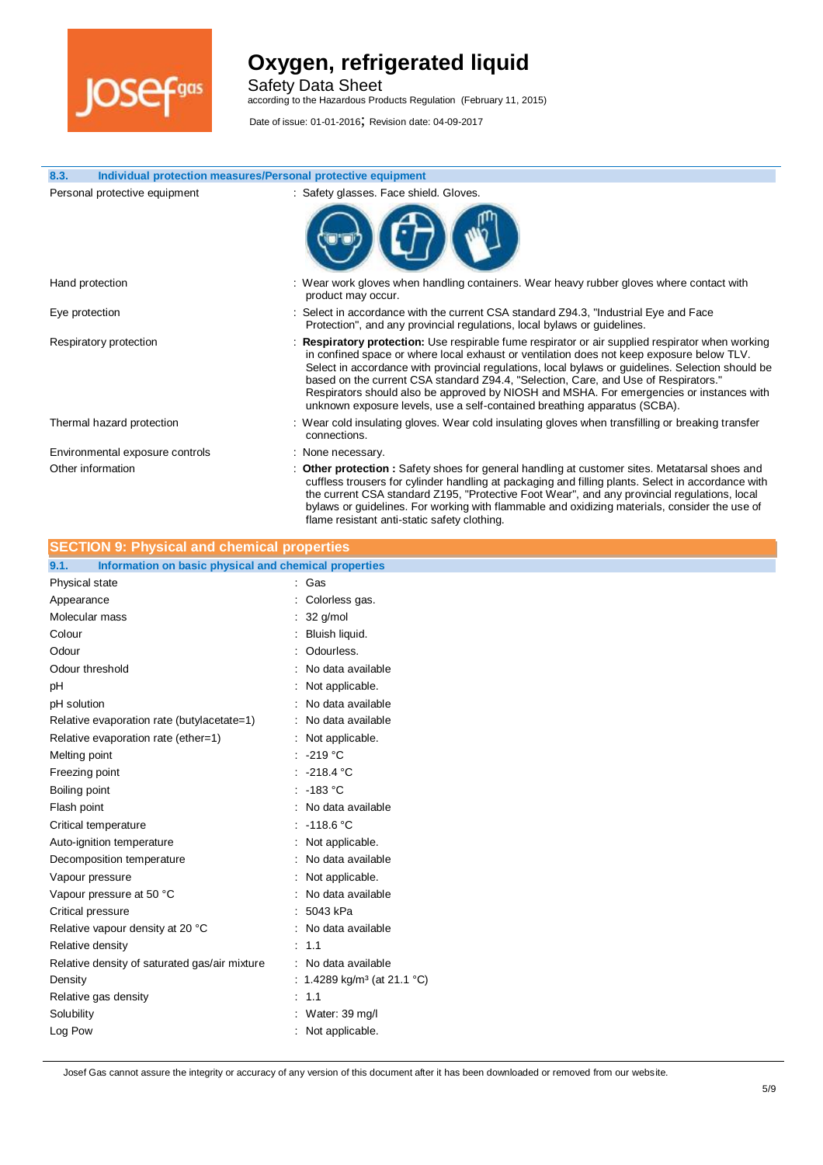

Safety Data Sheet

according to the Hazardous Products Regulation (February 11, 2015)

Date of issue: 01-01-2016; Revision date: 04-09-2017

| 8.3.<br>Individual protection measures/Personal protective equipment |                                                                                                                                                                                                                                                                                                                                                                                                                                                                                                                                                                    |
|----------------------------------------------------------------------|--------------------------------------------------------------------------------------------------------------------------------------------------------------------------------------------------------------------------------------------------------------------------------------------------------------------------------------------------------------------------------------------------------------------------------------------------------------------------------------------------------------------------------------------------------------------|
| Personal protective equipment                                        | : Safety glasses. Face shield. Gloves.                                                                                                                                                                                                                                                                                                                                                                                                                                                                                                                             |
|                                                                      |                                                                                                                                                                                                                                                                                                                                                                                                                                                                                                                                                                    |
| Hand protection                                                      | : Wear work gloves when handling containers. Wear heavy rubber gloves where contact with<br>product may occur.                                                                                                                                                                                                                                                                                                                                                                                                                                                     |
| Eye protection                                                       | : Select in accordance with the current CSA standard Z94.3, "Industrial Eye and Face<br>Protection", and any provincial regulations, local bylaws or guidelines.                                                                                                                                                                                                                                                                                                                                                                                                   |
| Respiratory protection                                               | : Respiratory protection: Use respirable fume respirator or air supplied respirator when working<br>in confined space or where local exhaust or ventilation does not keep exposure below TLV.<br>Select in accordance with provincial regulations, local bylaws or guidelines. Selection should be<br>based on the current CSA standard Z94.4, "Selection, Care, and Use of Respirators."<br>Respirators should also be approved by NIOSH and MSHA. For emergencies or instances with<br>unknown exposure levels, use a self-contained breathing apparatus (SCBA). |
| Thermal hazard protection                                            | : Wear cold insulating gloves. Wear cold insulating gloves when transfilling or breaking transfer<br>connections.                                                                                                                                                                                                                                                                                                                                                                                                                                                  |
| Environmental exposure controls                                      | : None necessary.                                                                                                                                                                                                                                                                                                                                                                                                                                                                                                                                                  |
| Other information                                                    | : Other protection : Safety shoes for general handling at customer sites. Metatarsal shoes and<br>cuffless trousers for cylinder handling at packaging and filling plants. Select in accordance with<br>the current CSA standard Z195, "Protective Foot Wear", and any provincial regulations, local<br>bylaws or guidelines. For working with flammable and oxidizing materials, consider the use of                                                                                                                                                              |

flame resistant anti-static safety clothing.

| <b>SECTION 9: Physical and chemical properties</b>            |                                         |
|---------------------------------------------------------------|-----------------------------------------|
| Information on basic physical and chemical properties<br>9.1. |                                         |
| Physical state                                                | : Gas                                   |
| Appearance                                                    | Colorless gas.                          |
| Molecular mass                                                | 32 g/mol                                |
| Colour                                                        | Bluish liquid.                          |
| Odour                                                         | Odourless.                              |
| Odour threshold                                               | No data available                       |
| pH                                                            | Not applicable.                         |
| pH solution                                                   | No data available                       |
| Relative evaporation rate (butylacetate=1)                    | No data available                       |
| Relative evaporation rate (ether=1)                           | Not applicable.                         |
| Melting point                                                 | -219 °C                                 |
| Freezing point                                                | $-218.4 °C$                             |
| Boiling point                                                 | : 183 °C                                |
| Flash point                                                   | No data available                       |
| Critical temperature                                          | $-118.6 °C$                             |
| Auto-ignition temperature                                     | Not applicable.                         |
| Decomposition temperature                                     | No data available                       |
| Vapour pressure                                               | Not applicable.                         |
| Vapour pressure at 50 °C                                      | No data available                       |
| Critical pressure                                             | 5043 kPa                                |
| Relative vapour density at 20 °C                              | No data available                       |
| Relative density                                              | : 1.1                                   |
| Relative density of saturated gas/air mixture                 | No data available<br>÷                  |
| Density                                                       | : 1.4289 kg/m <sup>3</sup> (at 21.1 °C) |
| Relative gas density                                          | : 1.1                                   |
| Solubility                                                    | Water: 39 mg/l                          |
| Log Pow                                                       | Not applicable.                         |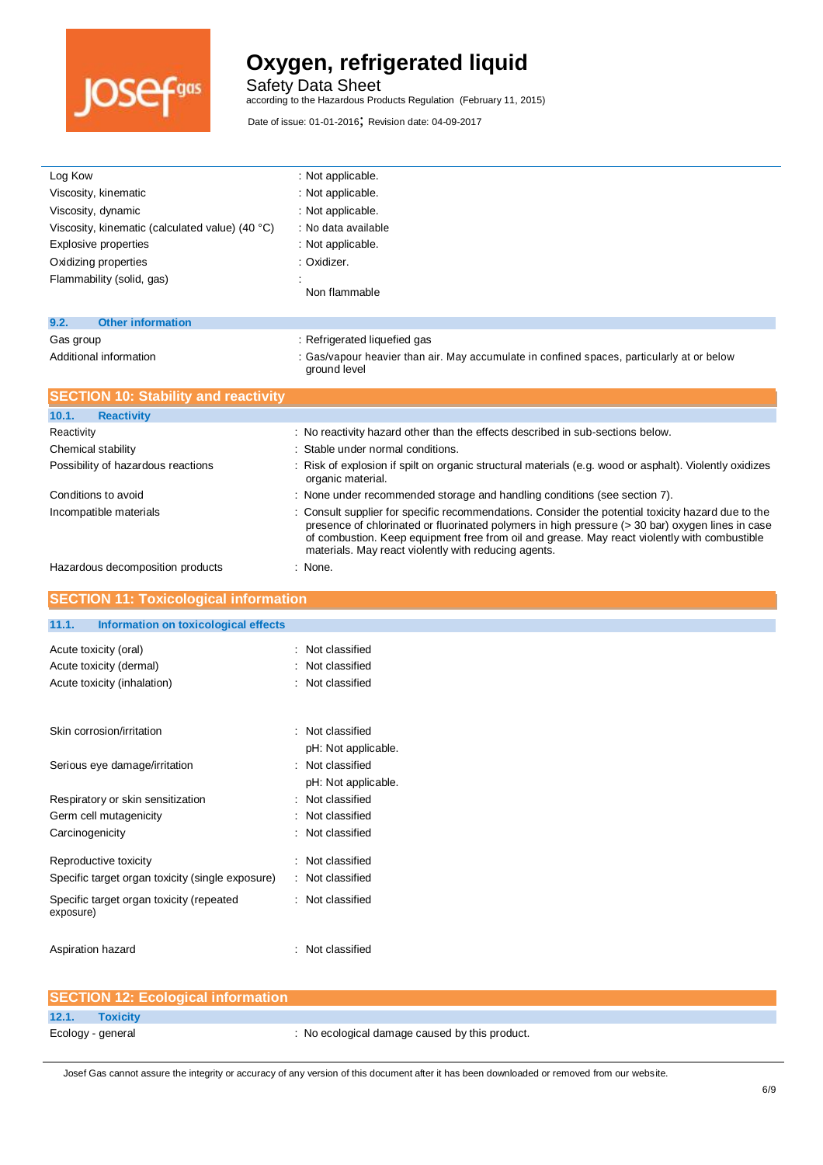

Safety Data Sheet

according to the Hazardous Products Regulation (February 11, 2015)

| Log Kow                                                                   | : Not applicable.                                                                                                                                                                                |
|---------------------------------------------------------------------------|--------------------------------------------------------------------------------------------------------------------------------------------------------------------------------------------------|
| Viscosity, kinematic                                                      | : Not applicable.                                                                                                                                                                                |
| Viscosity, dynamic                                                        | : Not applicable.                                                                                                                                                                                |
| Viscosity, kinematic (calculated value) (40 °C)                           | : No data available                                                                                                                                                                              |
| <b>Explosive properties</b>                                               | : Not applicable.                                                                                                                                                                                |
| Oxidizing properties                                                      | : Oxidizer.                                                                                                                                                                                      |
| Flammability (solid, gas)                                                 |                                                                                                                                                                                                  |
|                                                                           | Non flammable                                                                                                                                                                                    |
| <b>Other information</b><br>9.2.                                          |                                                                                                                                                                                                  |
| Gas group                                                                 | : Refrigerated liquefied gas                                                                                                                                                                     |
| Additional information                                                    | : Gas/vapour heavier than air. May accumulate in confined spaces, particularly at or below                                                                                                       |
|                                                                           | ground level                                                                                                                                                                                     |
| <b>SECTION 10: Stability and reactivity</b>                               |                                                                                                                                                                                                  |
| 10.1.<br><b>Reactivity</b>                                                |                                                                                                                                                                                                  |
| Reactivity                                                                | : No reactivity hazard other than the effects described in sub-sections below.                                                                                                                   |
| Chemical stability                                                        | Stable under normal conditions.                                                                                                                                                                  |
| Possibility of hazardous reactions                                        | : Risk of explosion if spilt on organic structural materials (e.g. wood or asphalt). Violently oxidizes                                                                                          |
|                                                                           | organic material.                                                                                                                                                                                |
| Conditions to avoid                                                       | : None under recommended storage and handling conditions (see section 7).                                                                                                                        |
| Incompatible materials                                                    | Consult supplier for specific recommendations. Consider the potential toxicity hazard due to the                                                                                                 |
|                                                                           | presence of chlorinated or fluorinated polymers in high pressure (> 30 bar) oxygen lines in case<br>of combustion. Keep equipment free from oil and grease. May react violently with combustible |
|                                                                           | materials. May react violently with reducing agents.                                                                                                                                             |
| Hazardous decomposition products                                          | : None.                                                                                                                                                                                          |
|                                                                           |                                                                                                                                                                                                  |
|                                                                           |                                                                                                                                                                                                  |
| <b>SECTION 11: Toxicological information</b>                              |                                                                                                                                                                                                  |
| 11.1.<br>Information on toxicological effects                             |                                                                                                                                                                                                  |
|                                                                           |                                                                                                                                                                                                  |
| Acute toxicity (oral)                                                     | : Not classified                                                                                                                                                                                 |
| Acute toxicity (dermal)                                                   | Not classified<br>: Not classified                                                                                                                                                               |
| Acute toxicity (inhalation)                                               |                                                                                                                                                                                                  |
|                                                                           |                                                                                                                                                                                                  |
| Skin corrosion/irritation                                                 | Not classified                                                                                                                                                                                   |
|                                                                           | pH: Not applicable.                                                                                                                                                                              |
| Serious eye damage/irritation                                             | : Not classified                                                                                                                                                                                 |
|                                                                           | pH: Not applicable.                                                                                                                                                                              |
| Respiratory or skin sensitization                                         | Not classified                                                                                                                                                                                   |
| Germ cell mutagenicity                                                    | Not classified                                                                                                                                                                                   |
| Carcinogenicity                                                           | : Not classified                                                                                                                                                                                 |
|                                                                           |                                                                                                                                                                                                  |
| Reproductive toxicity<br>Specific target organ toxicity (single exposure) | : Not classified<br>Not classified                                                                                                                                                               |
|                                                                           |                                                                                                                                                                                                  |
| Specific target organ toxicity (repeated<br>exposure)                     | : Not classified                                                                                                                                                                                 |
|                                                                           |                                                                                                                                                                                                  |
| Aspiration hazard                                                         | : Not classified                                                                                                                                                                                 |
|                                                                           |                                                                                                                                                                                                  |

|                   | <b>SECTION 12: Ecological information</b> |                                                |
|-------------------|-------------------------------------------|------------------------------------------------|
| 12.1.             | <b>Toxicity</b>                           |                                                |
| Ecology - general |                                           | : No ecological damage caused by this product. |
|                   |                                           |                                                |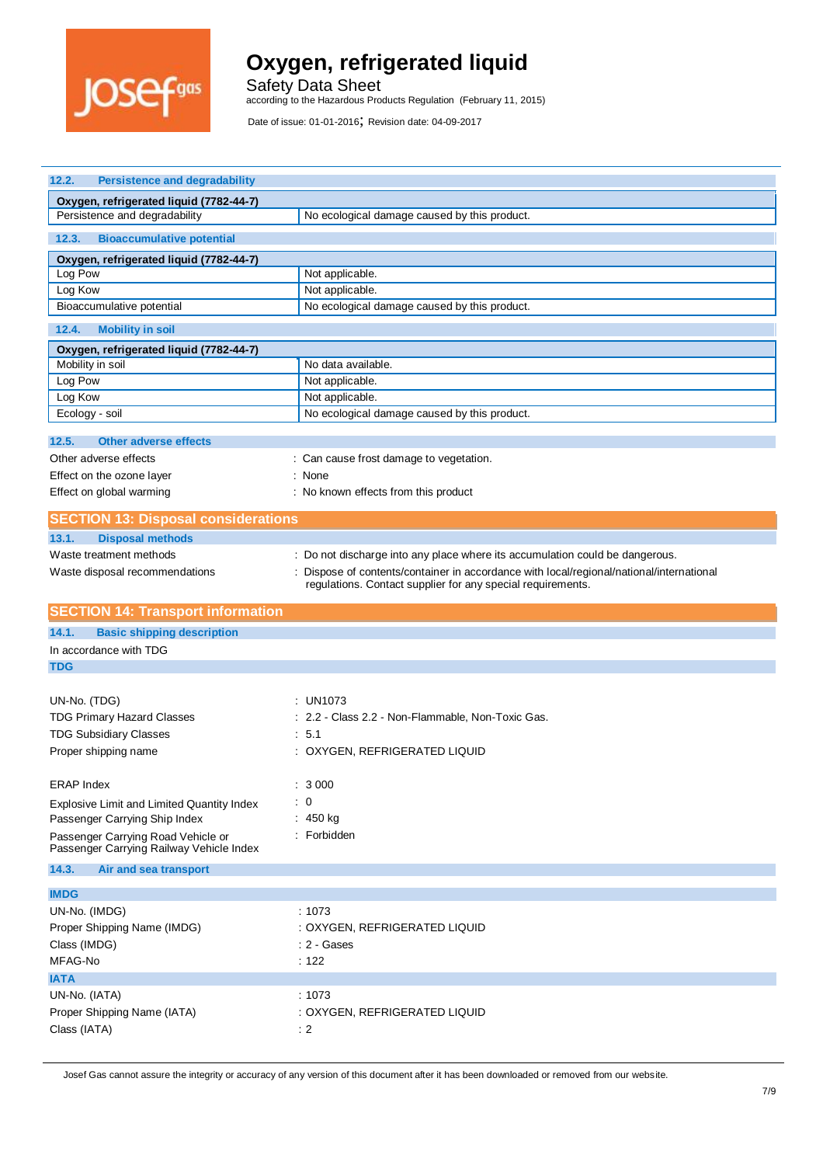

Safety Data Sheet according to the Hazardous Products Regulation (February 11, 2015)

Date of issue: 01-01-2016; Revision date: 04-09-2017

| 12.2.<br><b>Persistence and degradability</b>                                  |                                                                                                                                                       |  |
|--------------------------------------------------------------------------------|-------------------------------------------------------------------------------------------------------------------------------------------------------|--|
| Oxygen, refrigerated liquid (7782-44-7)                                        |                                                                                                                                                       |  |
| Persistence and degradability                                                  | No ecological damage caused by this product.                                                                                                          |  |
| 12.3.<br><b>Bioaccumulative potential</b>                                      |                                                                                                                                                       |  |
| Oxygen, refrigerated liquid (7782-44-7)                                        |                                                                                                                                                       |  |
| Log Pow                                                                        | Not applicable.                                                                                                                                       |  |
| Log Kow                                                                        | Not applicable.                                                                                                                                       |  |
| Bioaccumulative potential                                                      | No ecological damage caused by this product.                                                                                                          |  |
| 12.4.<br><b>Mobility in soil</b>                                               |                                                                                                                                                       |  |
| Oxygen, refrigerated liquid (7782-44-7)                                        |                                                                                                                                                       |  |
| Mobility in soil<br>Log Pow                                                    | No data available.<br>Not applicable.                                                                                                                 |  |
| Log Kow                                                                        | Not applicable.                                                                                                                                       |  |
| Ecology - soil                                                                 | No ecological damage caused by this product.                                                                                                          |  |
|                                                                                |                                                                                                                                                       |  |
| <b>Other adverse effects</b><br>12.5.                                          |                                                                                                                                                       |  |
| Other adverse effects                                                          | : Can cause frost damage to vegetation.                                                                                                               |  |
| Effect on the ozone layer                                                      | : None                                                                                                                                                |  |
| Effect on global warming                                                       | : No known effects from this product                                                                                                                  |  |
| <b>SECTION 13: Disposal considerations</b>                                     |                                                                                                                                                       |  |
| 13.1.<br><b>Disposal methods</b>                                               |                                                                                                                                                       |  |
| Waste treatment methods                                                        | : Do not discharge into any place where its accumulation could be dangerous.                                                                          |  |
| Waste disposal recommendations                                                 | Dispose of contents/container in accordance with local/regional/national/international<br>regulations. Contact supplier for any special requirements. |  |
|                                                                                |                                                                                                                                                       |  |
| <b>SECTION 14: Transport information</b>                                       |                                                                                                                                                       |  |
| <b>Basic shipping description</b><br>14.1.                                     |                                                                                                                                                       |  |
| In accordance with TDG                                                         |                                                                                                                                                       |  |
| <b>TDG</b>                                                                     |                                                                                                                                                       |  |
| UN-No. (TDG)                                                                   | : UN1073                                                                                                                                              |  |
| <b>TDG Primary Hazard Classes</b>                                              | : 2.2 - Class 2.2 - Non-Flammable, Non-Toxic Gas.                                                                                                     |  |
| <b>TDG Subsidiary Classes</b>                                                  | : 5.1                                                                                                                                                 |  |
| Proper shipping name                                                           | : OXYGEN, REFRIGERATED LIQUID                                                                                                                         |  |
|                                                                                |                                                                                                                                                       |  |
| <b>ERAP Index</b>                                                              | : 3000                                                                                                                                                |  |
| Explosive Limit and Limited Quantity Index                                     | $\therefore$ 0                                                                                                                                        |  |
| Passenger Carrying Ship Index                                                  | : 450 kg                                                                                                                                              |  |
| Passenger Carrying Road Vehicle or<br>Passenger Carrying Railway Vehicle Index | : Forbidden                                                                                                                                           |  |
| 14.3.<br>Air and sea transport                                                 |                                                                                                                                                       |  |
|                                                                                |                                                                                                                                                       |  |
| <b>IMDG</b>                                                                    |                                                                                                                                                       |  |
| UN-No. (IMDG)                                                                  | : 1073                                                                                                                                                |  |
| Proper Shipping Name (IMDG)<br>Class (IMDG)                                    | : OXYGEN, REFRIGERATED LIQUID<br>: 2 - Gases                                                                                                          |  |
| MFAG-No                                                                        | : 122                                                                                                                                                 |  |
| <b>IATA</b>                                                                    |                                                                                                                                                       |  |
| UN-No. (IATA)                                                                  | : 1073                                                                                                                                                |  |
| Proper Shipping Name (IATA)                                                    | : OXYGEN, REFRIGERATED LIQUID                                                                                                                         |  |
| Class (IATA)                                                                   | $\therefore$ 2                                                                                                                                        |  |
|                                                                                |                                                                                                                                                       |  |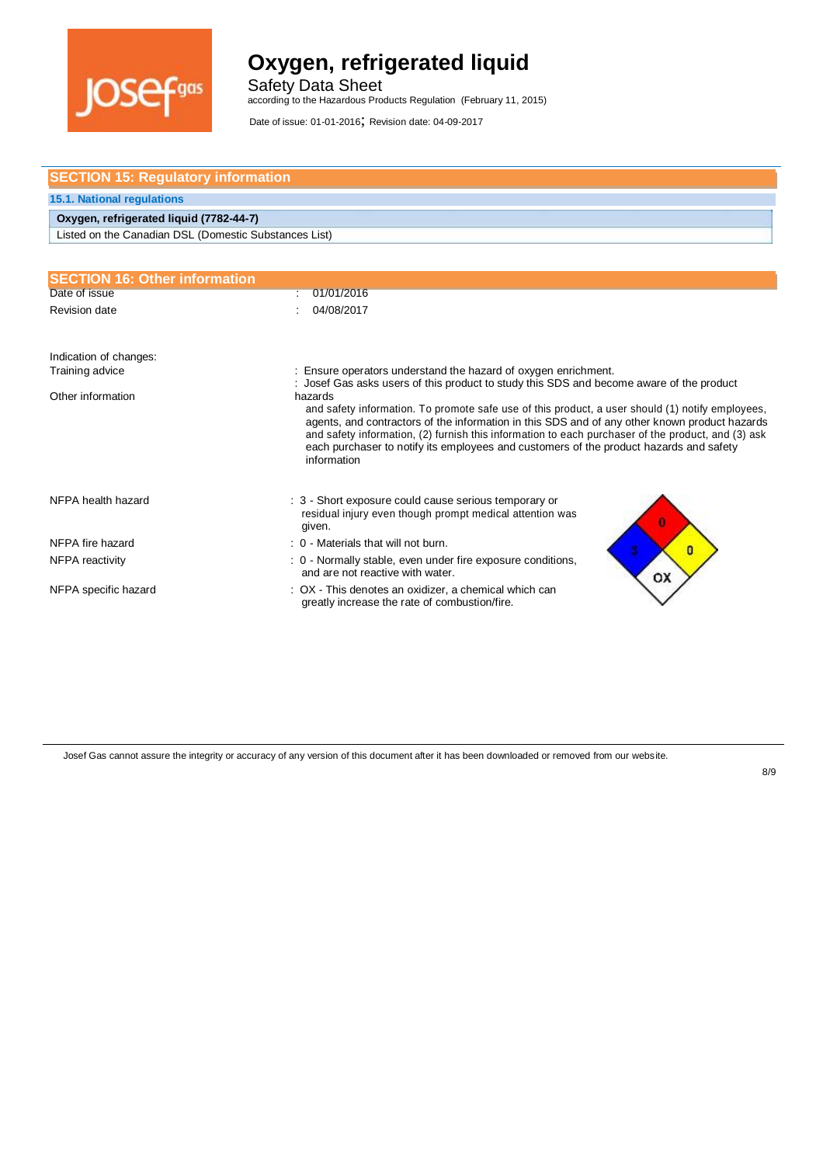

Safety Data Sheet according to the Hazardous Products Regulation (February 11, 2015)

Date of issue: 01-01-2016; Revision date: 04-09-2017

| <b>SECTION 15: Regulatory information</b>             |                                                                                                                                                                                                             |  |
|-------------------------------------------------------|-------------------------------------------------------------------------------------------------------------------------------------------------------------------------------------------------------------|--|
| <b>15.1. National regulations</b>                     |                                                                                                                                                                                                             |  |
| Oxygen, refrigerated liquid (7782-44-7)               |                                                                                                                                                                                                             |  |
| Listed on the Canadian DSL (Domestic Substances List) |                                                                                                                                                                                                             |  |
|                                                       |                                                                                                                                                                                                             |  |
| <b>SECTION 16: Other information</b>                  |                                                                                                                                                                                                             |  |
| Date of issue                                         | 01/01/2016                                                                                                                                                                                                  |  |
| Revision date                                         | 04/08/2017                                                                                                                                                                                                  |  |
|                                                       |                                                                                                                                                                                                             |  |
| Indication of changes:                                |                                                                                                                                                                                                             |  |
| Training advice                                       | Ensure operators understand the hazard of oxygen enrichment.                                                                                                                                                |  |
| Other information                                     | Josef Gas asks users of this product to study this SDS and become aware of the product<br>hazards                                                                                                           |  |
|                                                       | and safety information. To promote safe use of this product, a user should (1) notify employees,<br>agents, and contractors of the information in this SDS and of any other known product hazards           |  |
|                                                       | and safety information, (2) furnish this information to each purchaser of the product, and (3) ask<br>each purchaser to notify its employees and customers of the product hazards and safety<br>information |  |
|                                                       |                                                                                                                                                                                                             |  |
| NFPA health hazard                                    | : 3 - Short exposure could cause serious temporary or                                                                                                                                                       |  |
|                                                       | residual injury even though prompt medical attention was<br>given.                                                                                                                                          |  |
| NFPA fire hazard                                      | : 0 - Materials that will not burn.<br>$\mathbf{0}$                                                                                                                                                         |  |
| NFPA reactivity                                       | : 0 - Normally stable, even under fire exposure conditions,<br>and are not reactive with water.<br>OX                                                                                                       |  |
| NFPA specific hazard                                  | : OX - This denotes an oxidizer, a chemical which can<br>greatly increase the rate of combustion/fire.                                                                                                      |  |
|                                                       |                                                                                                                                                                                                             |  |